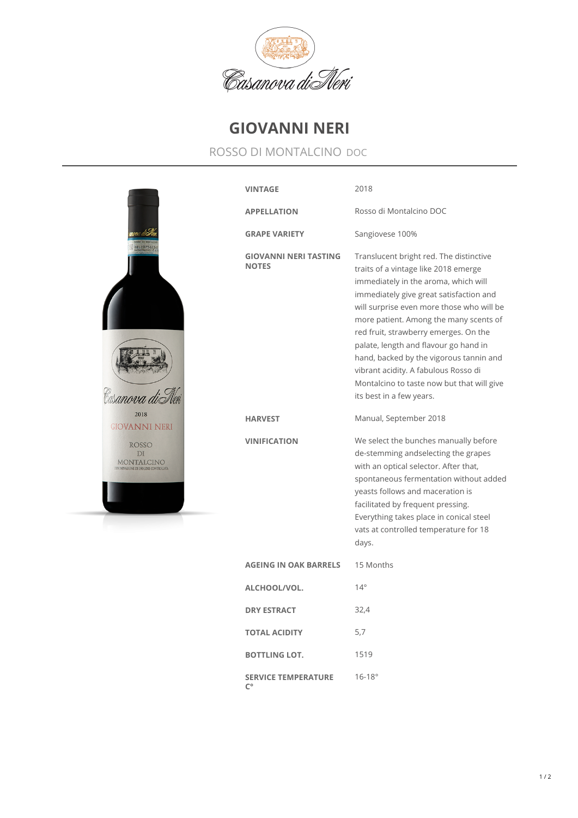

## **GIOVANNI NERI**

## ROSSO DI MONTALCINO DOC

| 1100756                                                                  | <b>VINTAGE</b>                                   | 2018                                                                                                                                                                                                                                                                                                                                                                                                                                                                                                     |
|--------------------------------------------------------------------------|--------------------------------------------------|----------------------------------------------------------------------------------------------------------------------------------------------------------------------------------------------------------------------------------------------------------------------------------------------------------------------------------------------------------------------------------------------------------------------------------------------------------------------------------------------------------|
|                                                                          | <b>APPELLATION</b>                               | Rosso di Montalcino DOC                                                                                                                                                                                                                                                                                                                                                                                                                                                                                  |
|                                                                          | <b>GRAPE VARIETY</b>                             | Sangiovese 100%                                                                                                                                                                                                                                                                                                                                                                                                                                                                                          |
|                                                                          | <b>GIOVANNI NERI TASTING</b><br><b>NOTES</b>     | Translucent bright red. The distinctive<br>traits of a vintage like 2018 emerge<br>immediately in the aroma, which will<br>immediately give great satisfaction and<br>will surprise even more those who will be<br>more patient. Among the many scents of<br>red fruit, strawberry emerges. On the<br>palate, length and flavour go hand in<br>hand, backed by the vigorous tannin and<br>vibrant acidity. A fabulous Rosso di<br>Montalcino to taste now but that will give<br>its best in a few years. |
| 2018<br>GIOVANNI NERI                                                    | <b>HARVEST</b>                                   | Manual, September 2018                                                                                                                                                                                                                                                                                                                                                                                                                                                                                   |
| <b>ROSSO</b><br>DI<br>MONTALCINO<br>DENOMINAZIONE DI ORIGINE CONTROLLATA | <b>VINIFICATION</b>                              | We select the bunches manually before<br>de-stemming andselecting the grapes<br>with an optical selector. After that,<br>spontaneous fermentation without added<br>yeasts follows and maceration is<br>facilitated by frequent pressing.<br>Everything takes place in conical steel<br>vats at controlled temperature for 18<br>days.                                                                                                                                                                    |
|                                                                          | <b>AGEING IN OAK BARRELS</b>                     | 15 Months                                                                                                                                                                                                                                                                                                                                                                                                                                                                                                |
|                                                                          | ALCHOOL/VOL.                                     | $14^{\circ}$                                                                                                                                                                                                                                                                                                                                                                                                                                                                                             |
|                                                                          | <b>DRY ESTRACT</b>                               | 32,4                                                                                                                                                                                                                                                                                                                                                                                                                                                                                                     |
|                                                                          | <b>TOTAL ACIDITY</b>                             | 5,7                                                                                                                                                                                                                                                                                                                                                                                                                                                                                                      |
|                                                                          | <b>BOTTLING LOT.</b>                             | 1519                                                                                                                                                                                                                                                                                                                                                                                                                                                                                                     |
|                                                                          | <b>SERVICE TEMPERATURE</b><br>$\mathsf{C}^\circ$ | $16 - 18^{\circ}$                                                                                                                                                                                                                                                                                                                                                                                                                                                                                        |